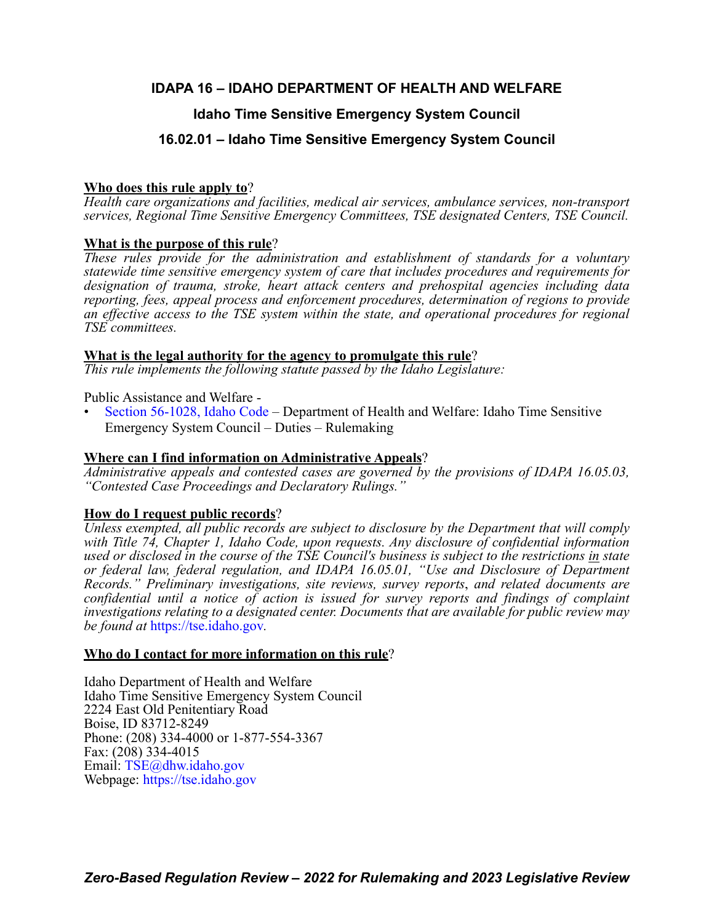# **IDAPA 16 – IDAHO DEPARTMENT OF HEALTH AND WELFARE**

# **Idaho Time Sensitive Emergency System Council**

# **16.02.01 – Idaho Time Sensitive Emergency System Council**

# **Who does this rule apply to**?

*Health care organizations and facilities, medical air services, ambulance services, non-transport services, Regional Time Sensitive Emergency Committees, TSE designated Centers, TSE Council.*

# **What is the purpose of this rule**?

*These rules provide for the administration and establishment of standards for a voluntary statewide time sensitive emergency system of care that includes procedures and requirements for designation of trauma, stroke, heart attack centers and prehospital agencies including data reporting, fees, appeal process and enforcement procedures, determination of regions to provide an effective access to the TSE system within the state, and operational procedures for regional TSE committees.*

# **What is the legal authority for the agency to promulgate this rule**?

*This rule implements the following statute passed by the Idaho Legislature:*

Public Assistance and Welfare -

• [Section 56-1028, Idaho Code](https://legislature.idaho.gov/statutesrules/idstat/Title56/T56CH10/SECT56-1028/) – Department of Health and Welfare: Idaho Time Sensitive Emergency System Council – Duties – Rulemaking

# **Where can I find information on Administrative Appeals**?

*Administrative appeals and contested cases are governed by the provisions of IDAPA 16.05.03, "Contested Case Proceedings and Declaratory Rulings."*

# **How do I request public records**?

*Unless exempted, all public records are subject to disclosure by the Department that will comply with Title 74, Chapter 1, Idaho Code, upon requests. Any disclosure of confidential information used or disclosed in the course of the TSE Council's business is subject to the restrictions in state or federal law, federal regulation, and IDAPA 16.05.01, "Use and Disclosure of Department Records." Preliminary investigations, site reviews, survey reports*, *and related documents are confidential until a notice of action is issued for survey reports and findings of complaint investigations relating to a designated center. Documents that are available for public review may be found at* [https://tse.idaho.gov](https://tse.idaho.gov/)*.*

# **Who do I contact for more information on this rule**?

Idaho Department of Health and Welfare Idaho Time Sensitive Emergency System Council 2224 East Old Penitentiary Road Boise, ID 83712-8249 Phone: (208) 334-4000 or 1-877-554-3367 Fax: (208) 334-4015 Email: [TSE@dhw.idaho.gov](mailto:TSE@dhw.idaho.gov) Webpage: <https://tse.idaho.gov>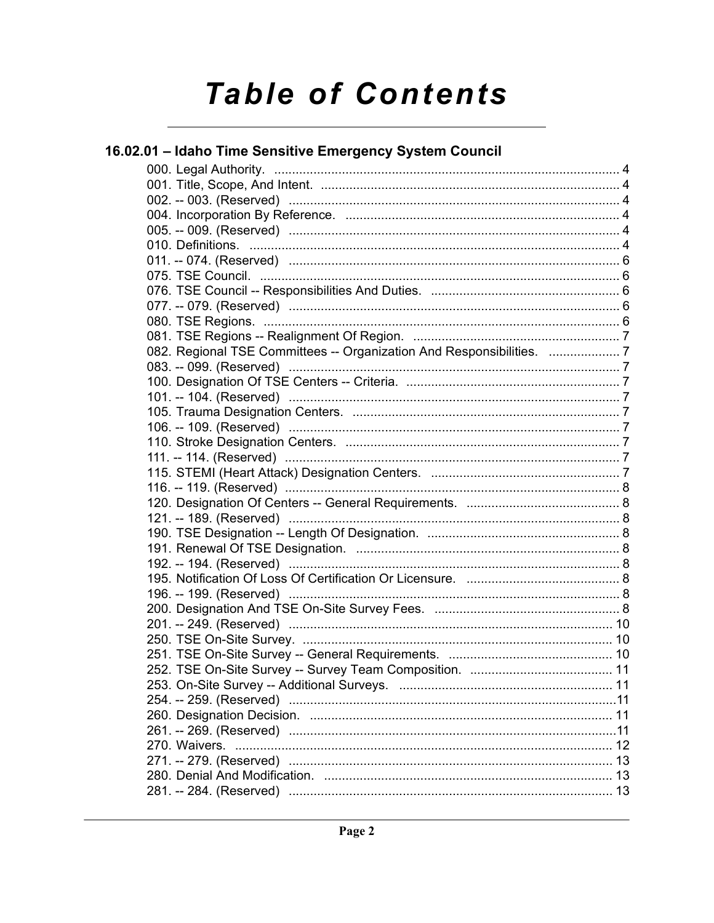# **Table of Contents**

| 16.02.01 – Idaho Time Sensitive Emergency System Council           |  |
|--------------------------------------------------------------------|--|
|                                                                    |  |
|                                                                    |  |
|                                                                    |  |
|                                                                    |  |
|                                                                    |  |
|                                                                    |  |
|                                                                    |  |
|                                                                    |  |
|                                                                    |  |
|                                                                    |  |
|                                                                    |  |
|                                                                    |  |
| 082. Regional TSE Committees -- Organization And Responsibilities. |  |
|                                                                    |  |
|                                                                    |  |
|                                                                    |  |
|                                                                    |  |
|                                                                    |  |
|                                                                    |  |
|                                                                    |  |
|                                                                    |  |
|                                                                    |  |
|                                                                    |  |
|                                                                    |  |
|                                                                    |  |
|                                                                    |  |
|                                                                    |  |
|                                                                    |  |
|                                                                    |  |
|                                                                    |  |
|                                                                    |  |
|                                                                    |  |
|                                                                    |  |
|                                                                    |  |
|                                                                    |  |
|                                                                    |  |
|                                                                    |  |
|                                                                    |  |
|                                                                    |  |
|                                                                    |  |
|                                                                    |  |
|                                                                    |  |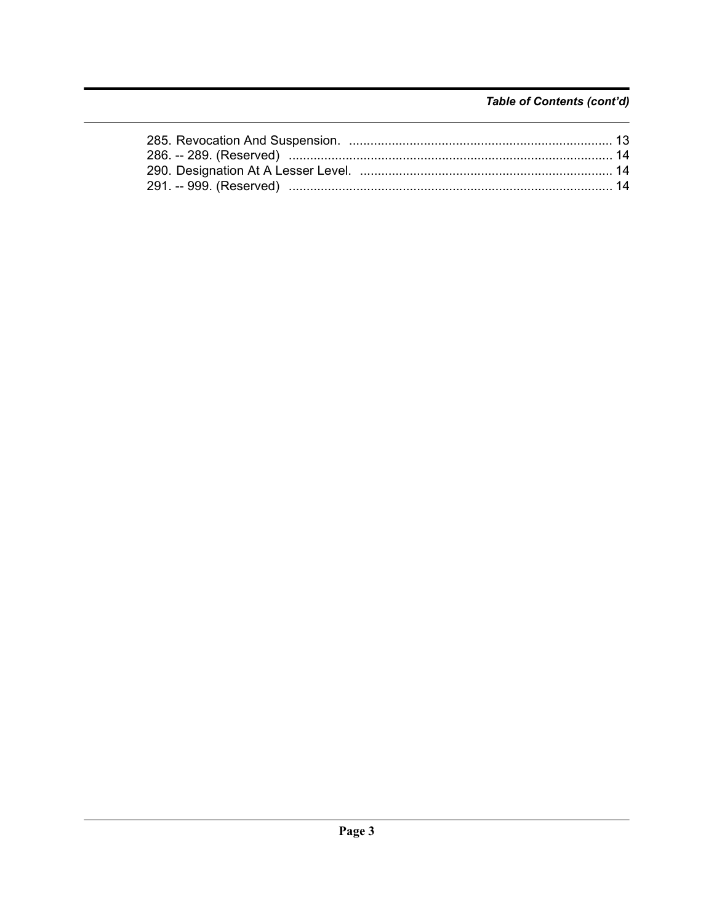# Table of Contents (cont'd)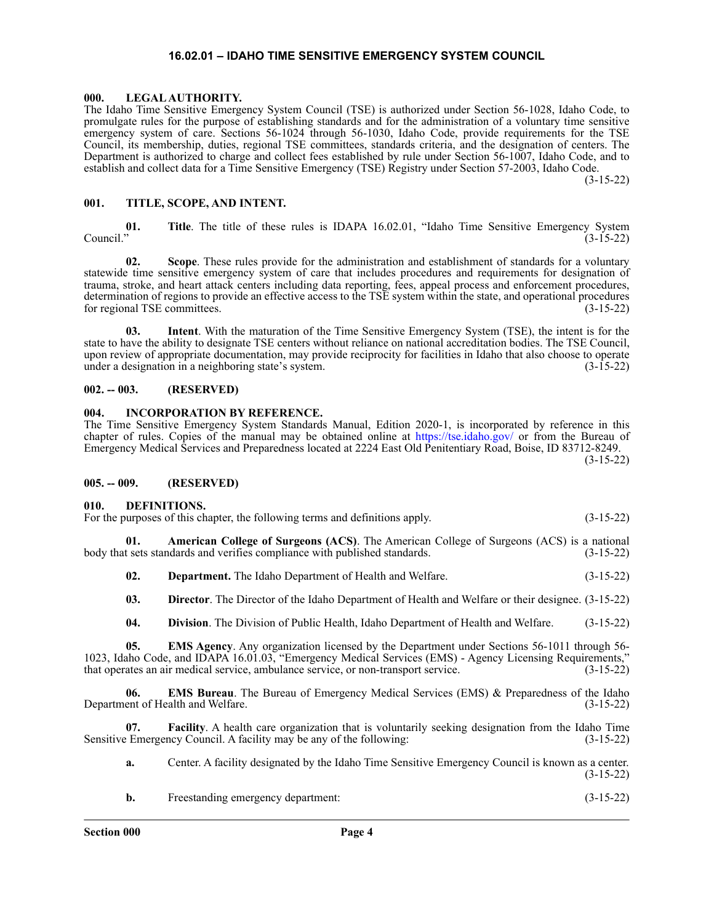#### **16.02.01 – IDAHO TIME SENSITIVE EMERGENCY SYSTEM COUNCIL**

#### <span id="page-3-1"></span><span id="page-3-0"></span>**000. LEGAL AUTHORITY.**

The Idaho Time Sensitive Emergency System Council (TSE) is authorized under Section 56-1028, Idaho Code, to promulgate rules for the purpose of establishing standards and for the administration of a voluntary time sensitive emergency system of care. Sections 56-1024 through 56-1030, Idaho Code, provide requirements for the TSE Council, its membership, duties, regional TSE committees, standards criteria, and the designation of centers. The Department is authorized to charge and collect fees established by rule under Section 56-1007, Idaho Code, and to establish and collect data for a Time Sensitive Emergency (TSE) Registry under Section 57-2003, Idaho Code.

(3-15-22)

#### <span id="page-3-2"></span>**001. TITLE, SCOPE, AND INTENT.**

**01.** Title. The title of these rules is IDAPA 16.02.01, "Idaho Time Sensitive Emergency System Council." (3-15-22)  $\text{Counti."}$  (3-15-22)

**02. Scope**. These rules provide for the administration and establishment of standards for a voluntary statewide time sensitive emergency system of care that includes procedures and requirements for designation of trauma, stroke, and heart attack centers including data reporting, fees, appeal process and enforcement procedures, determination of regions to provide an effective access to the TSE system within the state, and operational procedures<br>
(3-15-22) for regional TSE committees.

**03. Intent**. With the maturation of the Time Sensitive Emergency System (TSE), the intent is for the state to have the ability to designate TSE centers without reliance on national accreditation bodies. The TSE Council, upon review of appropriate documentation, may provide reciprocity for facilities in Idaho that also choose to operate under a designation in a neighboring state's system. (3-15-22)

#### <span id="page-3-3"></span>**002. -- 003. (RESERVED)**

#### <span id="page-3-4"></span>**004. INCORPORATION BY REFERENCE.**

The Time Sensitive Emergency System Standards Manual, Edition 2020-1, is incorporated by reference in this chapter of rules. Copies of the manual may be obtained online at <https://tse.idaho.gov/> or from the Bureau of Emergency Medical Services and Preparedness located at 2224 East Old Penitentiary Road, Boise, ID 83712-8249.

(3-15-22)

#### <span id="page-3-5"></span>**005. -- 009. (RESERVED)**

#### <span id="page-3-6"></span>**010. DEFINITIONS.**

| For the purposes of this chapter, the following terms and definitions apply. |  |  |  |  | $(3-15-22)$ |  |  |  |
|------------------------------------------------------------------------------|--|--|--|--|-------------|--|--|--|
|                                                                              |  |  |  |  |             |  |  |  |

**01. American College of Surgeons (ACS)**. The American College of Surgeons (ACS) is a national body that sets standards and verifies compliance with published standards. (3-15-22)

- **02. Department.** The Idaho Department of Health and Welfare. (3-15-22)
- **03. Director**. The Director of the Idaho Department of Health and Welfare or their designee. (3-15-22)
- **04. Division**. The Division of Public Health, Idaho Department of Health and Welfare. (3-15-22)

**05. EMS Agency**. Any organization licensed by the Department under Sections 56-1011 through 56- 1023, Idaho Code, and IDAPA 16.01.03, "Emergency Medical Services (EMS) - Agency Licensing Requirements," that operates an air medical service, ambulance service, or non-transport service. (3-15-22)

**06. EMS Bureau**. The Bureau of Emergency Medical Services (EMS) & Preparedness of the Idaho Department of Health and Welfare. (3-15-22)

**07. Facility**. A health care organization that is voluntarily seeking designation from the Idaho Time Emergency Council. A facility may be any of the following: Sensitive Emergency Council. A facility may be any of the following:

**a.** Center. A facility designated by the Idaho Time Sensitive Emergency Council is known as a center. (3-15-22)

| <b>b.</b> | Freestanding emergency department: | $(3-15-22)$ |  |
|-----------|------------------------------------|-------------|--|
|           |                                    |             |  |

**Section 000 Page 4**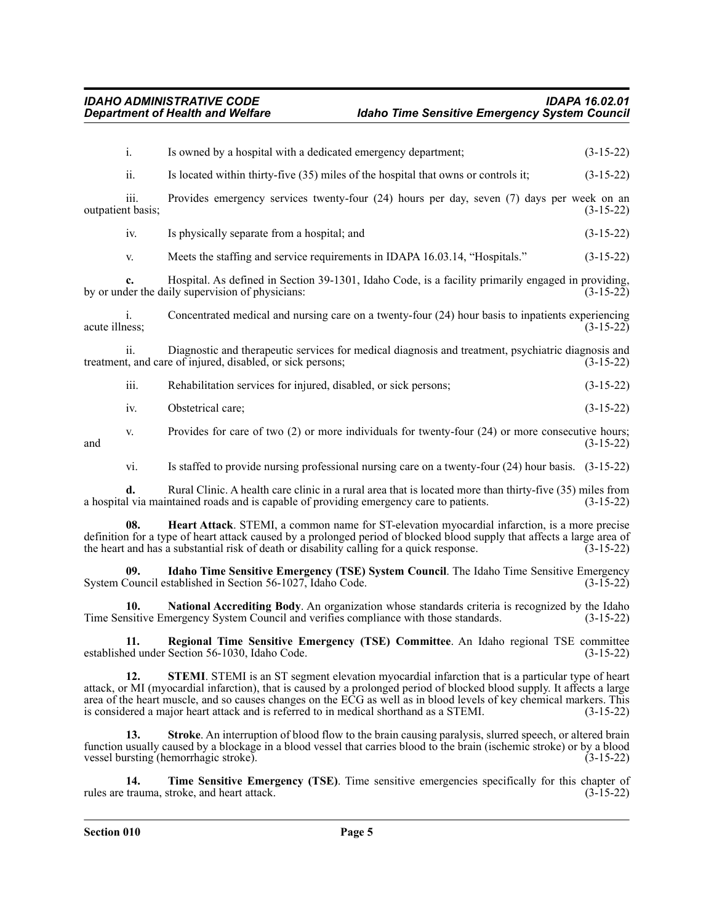|                         | i.                        | Is owned by a hospital with a dedicated emergency department;                                                                                                    | $(3-15-22)$ |
|-------------------------|---------------------------|------------------------------------------------------------------------------------------------------------------------------------------------------------------|-------------|
| ii.                     |                           | Is located within thirty-five (35) miles of the hospital that owns or controls it;                                                                               | $(3-15-22)$ |
|                         | iii.<br>outpatient basis; | Provides emergency services twenty-four (24) hours per day, seven (7) days per week on an                                                                        | $(3-15-22)$ |
|                         | iv.                       | Is physically separate from a hospital; and                                                                                                                      | $(3-15-22)$ |
|                         | V.                        | Meets the staffing and service requirements in IDAPA 16.03.14, "Hospitals."                                                                                      | $(3-15-22)$ |
|                         | c.                        | Hospital. As defined in Section 39-1301, Idaho Code, is a facility primarily engaged in providing,<br>by or under the daily supervision of physicians:           | $(3-15-22)$ |
| acute illness;          | 1.                        | Concentrated medical and nursing care on a twenty-four (24) hour basis to inpatients experiencing                                                                | $(3-15-22)$ |
|                         | ii.                       | Diagnostic and therapeutic services for medical diagnosis and treatment, psychiatric diagnosis and<br>treatment, and care of injured, disabled, or sick persons; | $(3-15-22)$ |
|                         | iii.                      | Rehabilitation services for injured, disabled, or sick persons;                                                                                                  | $(3-15-22)$ |
| iv.<br>V.<br>and<br>vi. |                           | Obstetrical care;                                                                                                                                                | $(3-15-22)$ |
|                         |                           | Provides for care of two $(2)$ or more individuals for twenty-four $(24)$ or more consecutive hours;                                                             | $(3-15-22)$ |
|                         |                           | Is staffed to provide nursing professional nursing care on a twenty-four $(24)$ hour basis. $(3-15-22)$                                                          |             |
|                         |                           | mentative and the contract of the contract of the contract of a                                                                                                  |             |

**d.** Rural Clinic. A health care clinic in a rural area that is located more than thirty-five (35) miles from 1 via maintained roads and is capable of providing emergency care to patients. (3-15-22) a hospital via maintained roads and is capable of providing emergency care to patients.

**08. Heart Attack**. STEMI, a common name for ST-elevation myocardial infarction, is a more precise definition for a type of heart attack caused by a prolonged period of blocked blood supply that affects a large area of the heart and has a substantial risk of death or disability calling for a quick response.  $(3-15-22)$ 

**09. Idaho Time Sensitive Emergency (TSE) System Council**. The Idaho Time Sensitive Emergency System Council established in Section 56-1027, Idaho Code. (3-15-22)

**10. National Accrediting Body**. An organization whose standards criteria is recognized by the Idaho Time Sensitive Emergency System Council and verifies compliance with those standards. (3-15-22)

**11. Regional Time Sensitive Emergency (TSE) Committee**. An Idaho regional TSE committee established under Section 56-1030, Idaho Code. (3-15-22)

**12. STEMI**. STEMI is an ST segment elevation myocardial infarction that is a particular type of heart attack, or MI (myocardial infarction), that is caused by a prolonged period of blocked blood supply. It affects a large area of the heart muscle, and so causes changes on the ECG as well as in blood levels of key chemical markers. This is considered a major heart attack and is referred to in medical shorthand as a STEMI. (3-15-22) is considered a major heart attack and is referred to in medical shorthand as a STEMI.

**Stroke**. An interruption of blood flow to the brain causing paralysis, slurred speech, or altered brain function usually caused by a blockage in a blood vessel that carries blood to the brain (ischemic stroke) or by a blood vessel bursting (hemorrhagic stroke). (3-15-22)

**14. Time Sensitive Emergency (TSE)**. Time sensitive emergencies specifically for this chapter of rules are trauma, stroke, and heart attack. (3-15-22)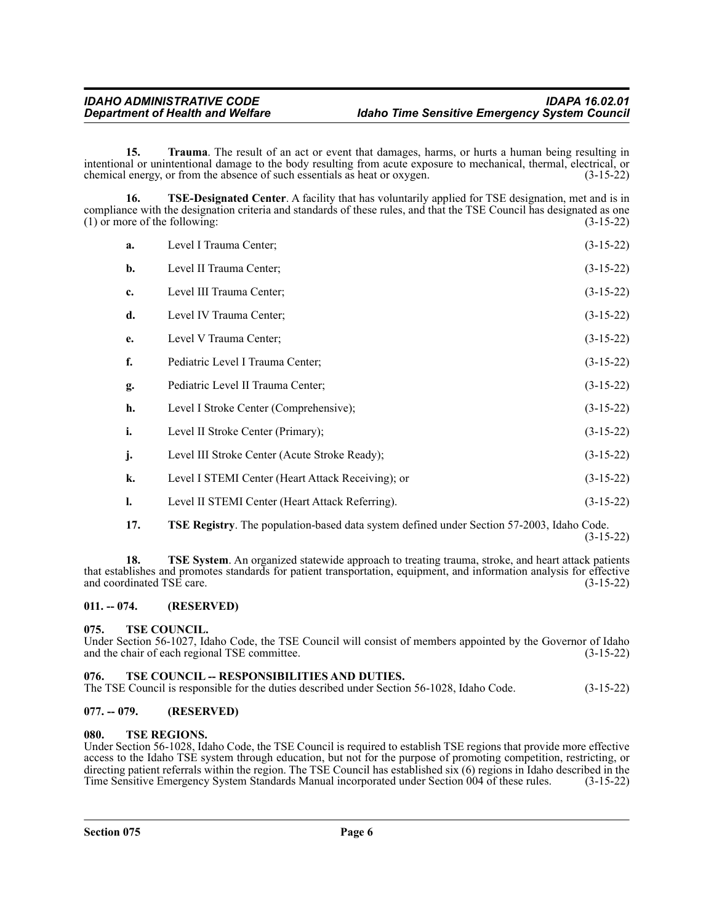**15. Trauma**. The result of an act or event that damages, harms, or hurts a human being resulting in intentional or unintentional damage to the body resulting from acute exposure to mechanical, thermal, electrical, or chemical energy, or from the absence of such essentials as heat or oxygen. (3-15-22) chemical energy, or from the absence of such essentials as heat or oxygen.

**16. TSE-Designated Center**. A facility that has voluntarily applied for TSE designation, met and is in compliance with the designation criteria and standards of these rules, and that the TSE Council has designated as one<br>(1) or more of the following:<br>(3-15-22)  $(1)$  or more of the following:

| a. | Level I Trauma Center;                            | $(3-15-22)$ |
|----|---------------------------------------------------|-------------|
| b. | Level II Trauma Center;                           | $(3-15-22)$ |
| c. | Level III Trauma Center;                          | $(3-15-22)$ |
| d. | Level IV Trauma Center;                           | $(3-15-22)$ |
| e. | Level V Trauma Center;                            | $(3-15-22)$ |
| f. | Pediatric Level I Trauma Center;                  | $(3-15-22)$ |
| g. | Pediatric Level II Trauma Center;                 | $(3-15-22)$ |
| h. | Level I Stroke Center (Comprehensive);            | $(3-15-22)$ |
| i. | Level II Stroke Center (Primary);                 | $(3-15-22)$ |
| j. | Level III Stroke Center (Acute Stroke Ready);     | $(3-15-22)$ |
| k. | Level I STEMI Center (Heart Attack Receiving); or | $(3-15-22)$ |
| l. | Level II STEMI Center (Heart Attack Referring).   | $(3-15-22)$ |
|    |                                                   |             |

**17. TSE Registry**. The population-based data system defined under Section 57-2003, Idaho Code. (3-15-22)

**18. TSE System**. An organized statewide approach to treating trauma, stroke, and heart attack patients that establishes and promotes standards for patient transportation, equipment, and information analysis for effective and coordinated TSE care. (3-15-22)

#### <span id="page-5-0"></span>**011. -- 074. (RESERVED)**

#### <span id="page-5-1"></span>**075. TSE COUNCIL.**

Under Section 56-1027, Idaho Code, the TSE Council will consist of members appointed by the Governor of Idaho and the chair of each regional TSE committee. (3-15-22) and the chair of each regional TSE committee.

#### <span id="page-5-2"></span>076. TSE COUNCIL -- RESPONSIBILITIES AND DUTIES.

The TSE Council is responsible for the duties described under Section 56-1028, Idaho Code. (3-15-22)

#### <span id="page-5-3"></span>**077. -- 079. (RESERVED)**

#### <span id="page-5-4"></span>**080. TSE REGIONS.**

Under Section 56-1028, Idaho Code, the TSE Council is required to establish TSE regions that provide more effective access to the Idaho TSE system through education, but not for the purpose of promoting competition, restricting, or directing patient referrals within the region. The TSE Council has established six (6) regions in Idaho described in the Time Sensitive Emergency System Standards Manual incorporated under Section 004 of these rules. (3-15 Time Sensitive Emergency System Standards Manual incorporated under Section 004 of these rules.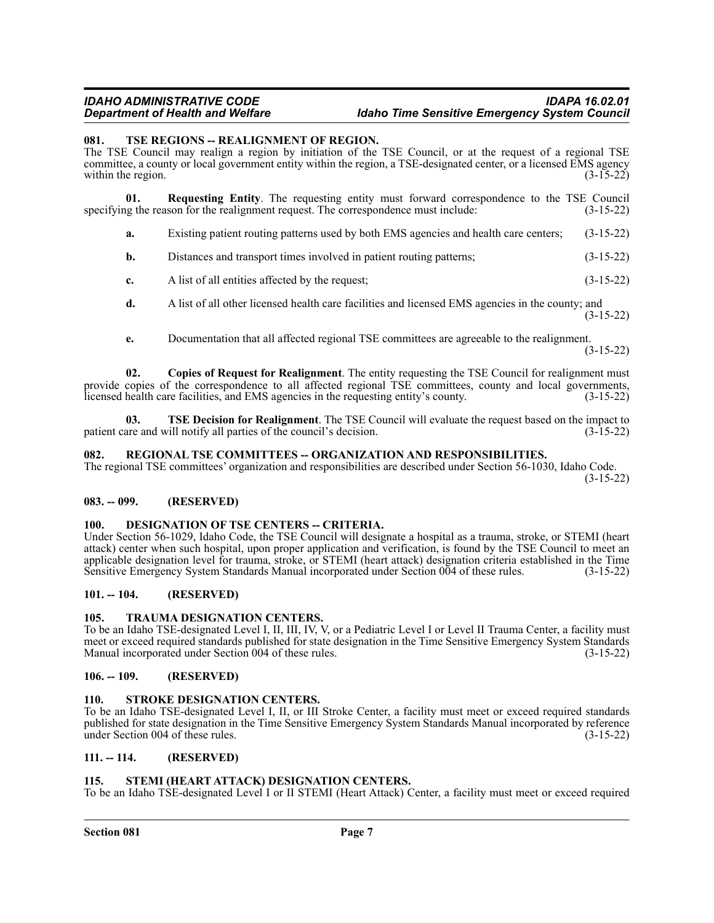#### *IDAHO ADMINISTRATIVE CODE IDAPA 16.02.01 <u>Idaho Time Sensitive Emergency System Council*</u>

#### <span id="page-6-0"></span>**081. TSE REGIONS -- REALIGNMENT OF REGION.**

The TSE Council may realign a region by initiation of the TSE Council, or at the request of a regional TSE committee, a county or local government entity within the region, a TSE-designated center, or a licensed EMS agency<br>(3-15-22) within the region.

**01. Requesting Entity**. The requesting entity must forward correspondence to the TSE Council lighter reason for the realignment request. The correspondence must include: (3-15-22) specifying the reason for the realignment request. The correspondence must include:

- **a.** Existing patient routing patterns used by both EMS agencies and health care centers; (3-15-22)
- **b.** Distances and transport times involved in patient routing patterns; (3-15-22)
- **c.** A list of all entities affected by the request; (3-15-22)
- **d.** A list of all other licensed health care facilities and licensed EMS agencies in the county; and (3-15-22)
- **e.** Documentation that all affected regional TSE committees are agreeable to the realignment.

(3-15-22)

**02. Copies of Request for Realignment**. The entity requesting the TSE Council for realignment must provide copies of the correspondence to all affected regional TSE committees, county and local governments, licensed health care facilities, and EMS agencies in the requesting entity's county. (3-15-22) licensed health care facilities, and EMS agencies in the requesting entity's county.

**03. TSE Decision for Realignment**. The TSE Council will evaluate the request based on the impact to are and will notify all parties of the council's decision. (3-15-22) patient care and will notify all parties of the council's decision.

#### <span id="page-6-1"></span>**082. REGIONAL TSE COMMITTEES -- ORGANIZATION AND RESPONSIBILITIES.**

The regional TSE committees' organization and responsibilities are described under Section 56-1030, Idaho Code. (3-15-22)

#### <span id="page-6-2"></span>**083. -- 099. (RESERVED)**

#### <span id="page-6-3"></span>**100. DESIGNATION OF TSE CENTERS -- CRITERIA.**

Under Section 56-1029, Idaho Code, the TSE Council will designate a hospital as a trauma, stroke, or STEMI (heart attack) center when such hospital, upon proper application and verification, is found by the TSE Council to meet an applicable designation level for trauma, stroke, or STEMI (heart attack) designation criteria established in the Time Sensitive Emergency System Standards Manual incorporated under Section 004 of these rules. (3-15-22)

#### <span id="page-6-4"></span>**101. -- 104. (RESERVED)**

#### <span id="page-6-5"></span>**105. TRAUMA DESIGNATION CENTERS.**

To be an Idaho TSE-designated Level I, II, III, IV, V, or a Pediatric Level I or Level II Trauma Center, a facility must meet or exceed required standards published for state designation in the Time Sensitive Emergency System Standards Manual incorporated under Section 004 of these rules. (3-15-22)

#### <span id="page-6-6"></span>**106. -- 109. (RESERVED)**

### <span id="page-6-7"></span>**110. STROKE DESIGNATION CENTERS.**

To be an Idaho TSE-designated Level I, II, or III Stroke Center, a facility must meet or exceed required standards published for state designation in the Time Sensitive Emergency System Standards Manual incorporated by reference under Section 004 of these rules. (3-15-22)

#### <span id="page-6-8"></span>**111. -- 114. (RESERVED)**

#### <span id="page-6-9"></span>**115. STEMI (HEART ATTACK) DESIGNATION CENTERS.**

To be an Idaho TSE-designated Level I or II STEMI (Heart Attack) Center, a facility must meet or exceed required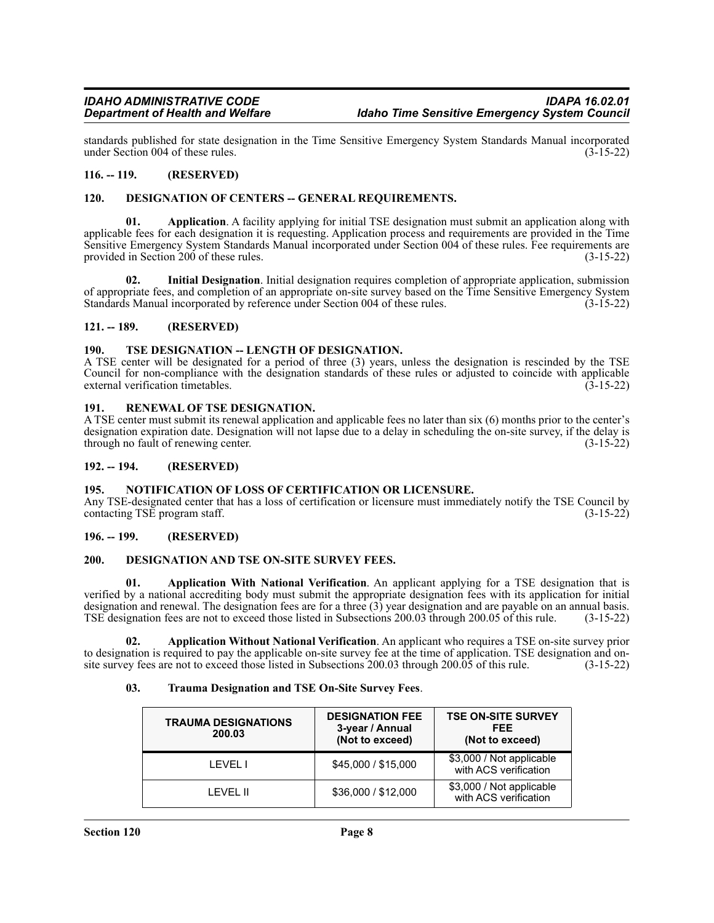standards published for state designation in the Time Sensitive Emergency System Standards Manual incorporated under Section 004 of these rules.

#### <span id="page-7-0"></span>**116. -- 119. (RESERVED)**

#### <span id="page-7-1"></span>**120. DESIGNATION OF CENTERS -- GENERAL REQUIREMENTS.**

**01. Application**. A facility applying for initial TSE designation must submit an application along with applicable fees for each designation it is requesting. Application process and requirements are provided in the Time Sensitive Emergency System Standards Manual incorporated under Section 004 of these rules. Fee requirements are provided in Section 200 of these rules. provided in Section 200 of these rules.

**02. Initial Designation**. Initial designation requires completion of appropriate application, submission of appropriate fees, and completion of an appropriate on-site survey based on the Time Sensitive Emergency System Standards Manual incorporated by reference under Section 004 of these rules. (3-15-22)

#### <span id="page-7-2"></span>**121. -- 189. (RESERVED)**

#### <span id="page-7-3"></span>190. TSE DESIGNATION -- LENGTH OF DESIGNATION.

A TSE center will be designated for a period of three (3) years, unless the designation is rescinded by the TSE Council for non-compliance with the designation standards of these rules or adjusted to coincide with applicable external verification timetables. (3-15-22) external verification timetables.

#### <span id="page-7-4"></span>**191. RENEWAL OF TSE DESIGNATION.**

A TSE center must submit its renewal application and applicable fees no later than six (6) months prior to the center's designation expiration date. Designation will not lapse due to a delay in scheduling the on-site survey, if the delay is through no fault of renewing center. (3-15-22)

#### <span id="page-7-5"></span>**192. -- 194. (RESERVED)**

#### <span id="page-7-6"></span>**195. NOTIFICATION OF LOSS OF CERTIFICATION OR LICENSURE.**

Any TSE-designated center that has a loss of certification or licensure must immediately notify the TSE Council by contacting TSE program staff. (3-15-22)

#### <span id="page-7-7"></span>**196. -- 199. (RESERVED)**

#### <span id="page-7-8"></span>**200. DESIGNATION AND TSE ON-SITE SURVEY FEES.**

**01. Application With National Verification**. An applicant applying for a TSE designation that is verified by a national accrediting body must submit the appropriate designation fees with its application for initial designation and renewal. The designation fees are for a three (3) year designation and are payable on an annual basis. TSE designation fees are not to exceed those listed in Subsections 200.03 through 200.05 of this rule. (3-15-22)

**02. Application Without National Verification**. An applicant who requires a TSE on-site survey prior to designation is required to pay the applicable on-site survey fee at the time of application. TSE designation and on-<br>site survey fees are not to exceed those listed in Subsections 200.03 through 200.05 of this rule. (3site survey fees are not to exceed those listed in Subsections 200.03 through 200.05 of this rule.

#### **03. Trauma Designation and TSE On-Site Survey Fees**.

| <b>TRAUMA DESIGNATIONS</b><br>200.03 | <b>DESIGNATION FEE</b><br>3-year / Annual<br>(Not to exceed) | <b>TSE ON-SITE SURVEY</b><br>FEE<br>(Not to exceed) |
|--------------------------------------|--------------------------------------------------------------|-----------------------------------------------------|
| I FVFI T                             | \$45,000 / \$15,000                                          | \$3,000 / Not applicable<br>with ACS verification   |
| I FVFI II                            | \$36,000 / \$12,000                                          | \$3,000 / Not applicable<br>with ACS verification   |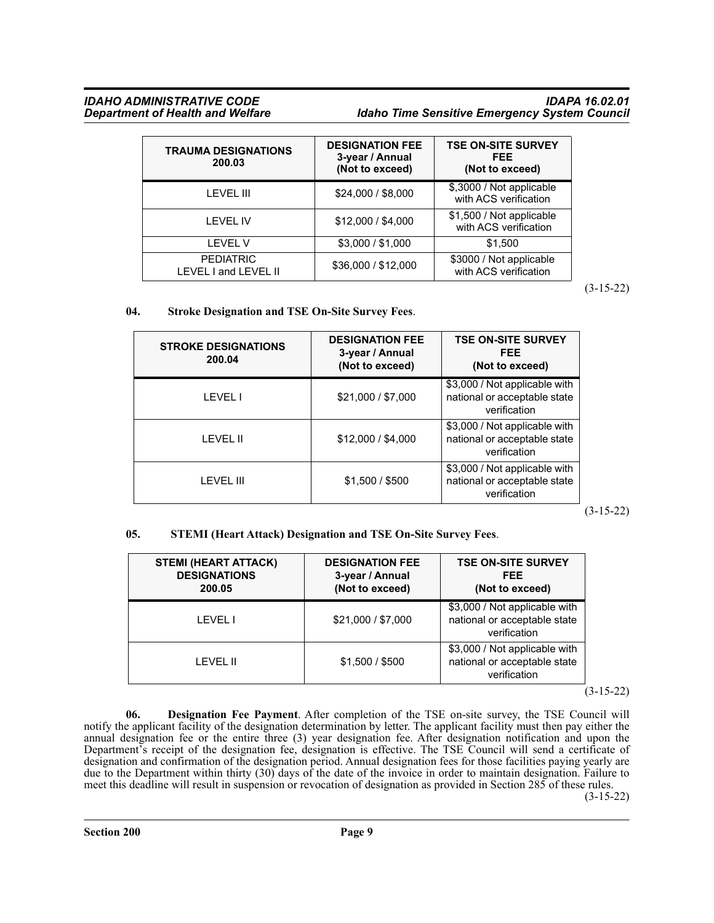#### *IDAHO ADMINISTRATIVE CODE IDAPA 16.02.01* **Idaho Time Sensitive Emergency System Council**

| <b>TRAUMA DESIGNATIONS</b><br>200.03     | <b>DESIGNATION FEE</b><br>3-year / Annual<br>(Not to exceed) | <b>TSE ON-SITE SURVEY</b><br>FEE<br>(Not to exceed) |
|------------------------------------------|--------------------------------------------------------------|-----------------------------------------------------|
| <b>LEVEL III</b>                         | \$24,000 / \$8,000                                           | \$,3000 / Not applicable<br>with ACS verification   |
| <b>LEVEL IV</b>                          | \$12,000 / \$4,000                                           | \$1,500 / Not applicable<br>with ACS verification   |
| <b>LEVEL V</b>                           | \$3,000 / \$1,000                                            | \$1,500                                             |
| <b>PEDIATRIC</b><br>LEVEL I and LEVEL II | \$36,000 / \$12,000                                          | \$3000 / Not applicable<br>with ACS verification    |

(3-15-22)

### **04. Stroke Designation and TSE On-Site Survey Fees**.

| <b>STROKE DESIGNATIONS</b><br>200.04 | <b>DESIGNATION FEE</b><br>3-year / Annual<br>(Not to exceed) | <b>TSE ON-SITE SURVEY</b><br><b>FEE</b><br>(Not to exceed)                    |
|--------------------------------------|--------------------------------------------------------------|-------------------------------------------------------------------------------|
| <b>LEVEL I</b>                       | \$21,000 / \$7,000                                           | \$3,000 / Not applicable with<br>national or acceptable state<br>verification |
| LEVEL II                             | \$12,000 / \$4,000                                           | \$3,000 / Not applicable with<br>national or acceptable state<br>verification |
| I FVFI III                           | \$1,500 / \$500                                              | \$3,000 / Not applicable with<br>national or acceptable state<br>verification |

(3-15-22)

# **05. STEMI (Heart Attack) Designation and TSE On-Site Survey Fees**.

| <b>STEMI (HEART ATTACK)</b><br><b>DESIGNATIONS</b><br>200.05 | <b>DESIGNATION FEE</b><br>3-year / Annual<br>(Not to exceed) | <b>TSE ON-SITE SURVEY</b><br>FEE.<br>(Not to exceed)                          |
|--------------------------------------------------------------|--------------------------------------------------------------|-------------------------------------------------------------------------------|
| LEVEL I                                                      | \$21,000 / \$7,000                                           | \$3,000 / Not applicable with<br>national or acceptable state<br>verification |
| <b>LEVEL II</b>                                              | \$1.500 / \$500                                              | \$3,000 / Not applicable with<br>national or acceptable state<br>verification |

(3-15-22)

**06. Designation Fee Payment**. After completion of the TSE on-site survey, the TSE Council will notify the applicant facility of the designation determination by letter. The applicant facility must then pay either the annual designation fee or the entire three (3) year designation fee. After designation notification and upon the Department's receipt of the designation fee, designation is effective. The TSE Council will send a certificate of designation and confirmation of the designation period. Annual designation fees for those facilities paying yearly are due to the Department within thirty (30) days of the date of the invoice in order to maintain designation. Failure to meet this deadline will result in suspension or revocation of designation as provided in Section 285 of these rules.

(3-15-22)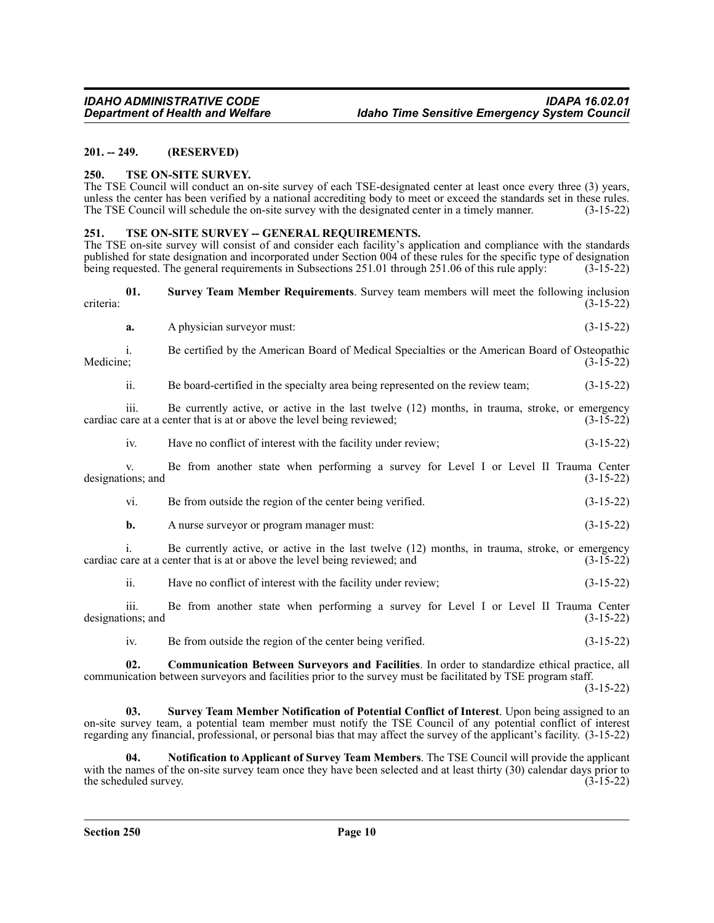#### <span id="page-9-0"></span>**201. -- 249. (RESERVED)**

#### <span id="page-9-1"></span>**250. TSE ON-SITE SURVEY.**

The TSE Council will conduct an on-site survey of each TSE-designated center at least once every three (3) years, unless the center has been verified by a national accrediting body to meet or exceed the standards set in these rules.<br>The TSE Council will schedule the on-site survey with the designated center in a timely manner. (3-15-2 The TSE Council will schedule the on-site survey with the designated center in a timely manner.

#### <span id="page-9-2"></span>**251. TSE ON-SITE SURVEY -- GENERAL REQUIREMENTS.**

The TSE on-site survey will consist of and consider each facility's application and compliance with the standards published for state designation and incorporated under Section 004 of these rules for the specific type of designation being requested. The general requirements in Subsections 251.01 through 251.06 of this rule apply: (3-15-22)

**01. Survey Team Member Requirements**. Survey team members will meet the following inclusion criteria: (3-15-22)

**a.** A physician surveyor must: (3-15-22)

i. Be certified by the American Board of Medical Specialties or the American Board of Osteopathic  $\text{Medicine};$  (3-15-22)

ii. Be board-certified in the specialty area being represented on the review team; (3-15-22)

iii. Be currently active, or active in the last twelve (12) months, in trauma, stroke, or emergency cardiac care at a center that is at or above the level being reviewed; (3-15-22)

iv. Have no conflict of interest with the facility under review; (3-15-22)

v. Be from another state when performing a survey for Level I or Level II Trauma Center designations; and (3-15-22)

- vi. Be from outside the region of the center being verified. (3-15-22)
- **b.** A nurse surveyor or program manager must:  $(3-15-22)$

i. Be currently active, or active in the last twelve  $(12)$  months, in trauma, stroke, or emergency are at a center that is at or above the level being reviewed: and  $(3-15-22)$ cardiac care at a center that is at or above the level being reviewed; and

ii. Have no conflict of interest with the facility under review; (3-15-22)

iii. Be from another state when performing a survey for Level I or Level II Trauma Center designations; and (3-15-22)

iv. Be from outside the region of the center being verified. (3-15-22)

**02. Communication Between Surveyors and Facilities**. In order to standardize ethical practice, all communication between surveyors and facilities prior to the survey must be facilitated by TSE program staff.

(3-15-22)

**03. Survey Team Member Notification of Potential Conflict of Interest**. Upon being assigned to an on-site survey team, a potential team member must notify the TSE Council of any potential conflict of interest regarding any financial, professional, or personal bias that may affect the survey of the applicant's facility. (3-15-22)

**04. Notification to Applicant of Survey Team Members**. The TSE Council will provide the applicant with the names of the on-site survey team once they have been selected and at least thirty (30) calendar days prior to the scheduled survey. (3-15-22) the scheduled survey.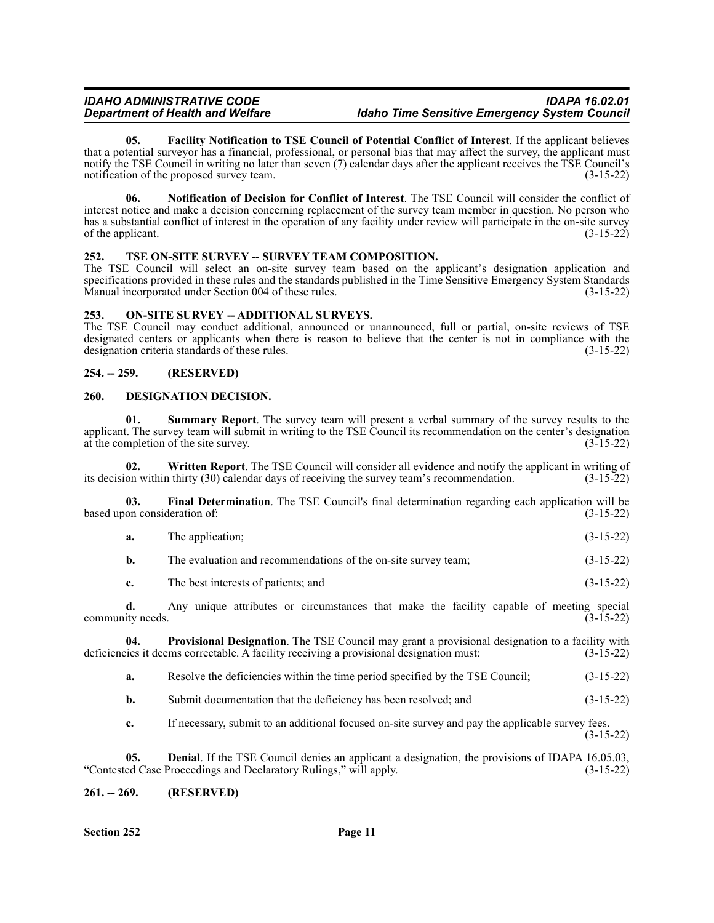#### *IDAHO ADMINISTRATIVE CODE IDAPA 16.02.01 <u>Idaho Time Sensitive Emergency System Council*</u>

**05. Facility Notification to TSE Council of Potential Conflict of Interest**. If the applicant believes that a potential surveyor has a financial, professional, or personal bias that may affect the survey, the applicant must notify the TSE Council in writing no later than seven (7) calendar days after the applicant receives the TSE Council's notification of the proposed survey team. (3-15-22)

**06. Notification of Decision for Conflict of Interest**. The TSE Council will consider the conflict of interest notice and make a decision concerning replacement of the survey team member in question. No person who has a substantial conflict of interest in the operation of any facility under review will participate in the on-site survey of the applicant.  $(3-15-22)$ 

#### <span id="page-10-0"></span>**252. TSE ON-SITE SURVEY -- SURVEY TEAM COMPOSITION.**

The TSE Council will select an on-site survey team based on the applicant's designation application and specifications provided in these rules and the standards published in the Time Sensitive Emergency System Standards Manual incorporated under Section 004 of these rules. (3-15-22)

#### <span id="page-10-1"></span>**253. ON-SITE SURVEY -- ADDITIONAL SURVEYS.**

The TSE Council may conduct additional, announced or unannounced, full or partial, on-site reviews of TSE designated centers or applicants when there is reason to believe that the center is not in compliance with the designation criteria standards of these rules. (3-15-22)

#### <span id="page-10-2"></span>**254. -- 259. (RESERVED)**

#### <span id="page-10-3"></span>**260. DESIGNATION DECISION.**

**01. Summary Report**. The survey team will present a verbal summary of the survey results to the applicant. The survey team will submit in writing to the TSE Council its recommendation on the center's designation at the completion of the site survey.  $(3-15-22)$ 

**02. Written Report**. The TSE Council will consider all evidence and notify the applicant in writing of its decision within thirty (30) calendar days of receiving the survey team's recommendation. (3-15-22)

**03. Final Determination**. The TSE Council's final determination regarding each application will be based upon consideration of: (3-15-22)

| <b>a.</b> | The application; |  | $(3-15-22)$ |
|-----------|------------------|--|-------------|
|           |                  |  |             |

**b.** The evaluation and recommendations of the on-site survey team;  $(3-15-22)$ 

**c.** The best interests of patients; and (3-15-22)

**d.** Any unique attributes or circumstances that make the facility capable of meeting special community needs. (3-15-22)

**04. Provisional Designation**. The TSE Council may grant a provisional designation to a facility with deficiencies it deems correctable. A facility receiving a provisional designation must: (3-15-22)

- **a.** Resolve the deficiencies within the time period specified by the TSE Council;  $(3-15-22)$
- **b.** Submit documentation that the deficiency has been resolved; and  $(3-15-22)$

**c.** If necessary, submit to an additional focused on-site survey and pay the applicable survey fees. (3-15-22)

**05. Denial**. If the TSE Council denies an applicant a designation, the provisions of IDAPA 16.05.03, ed Case Proceedings and Declaratory Rulings," will apply. (3-15-22) "Contested Case Proceedings and Declaratory Rulings," will apply.

#### <span id="page-10-4"></span>**261. -- 269. (RESERVED)**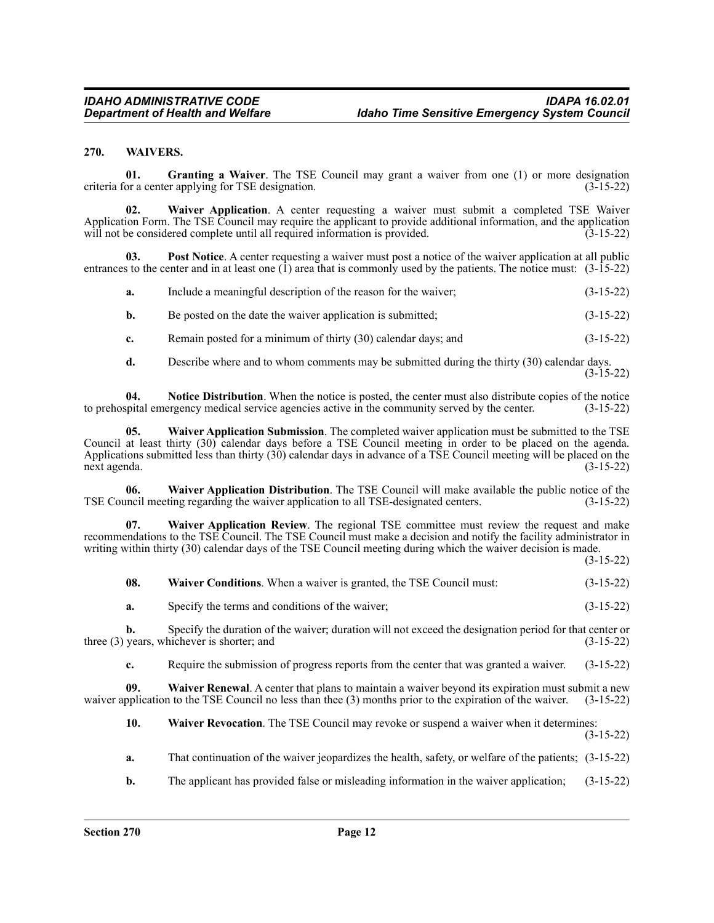#### <span id="page-11-0"></span>**270. WAIVERS.**

**01. Granting a Waiver**. The TSE Council may grant a waiver from one (1) or more designation criteria for a center applying for TSE designation. (3-15-22)

**02. Waiver Application**. A center requesting a waiver must submit a completed TSE Waiver Application Form. The TSE Council may require the applicant to provide additional information, and the application will not be considered complete until all required information is provided. (3-15-22)

**03. Post Notice**. A center requesting a waiver must post a notice of the waiver application at all public entrances to the center and in at least one  $(1)$  area that is commonly used by the patients. The notice must:  $(3-15-22)$ 

|  | Include a meaningful description of the reason for the waiver: | $(3-15-22)$ |
|--|----------------------------------------------------------------|-------------|
|--|----------------------------------------------------------------|-------------|

| Be posted on the date the waiver application is submitted:<br>b. | $(3-15-22)$ |  |
|------------------------------------------------------------------|-------------|--|
|------------------------------------------------------------------|-------------|--|

**c.** Remain posted for a minimum of thirty (30) calendar days; and (3-15-22)

**d.** Describe where and to whom comments may be submitted during the thirty (30) calendar days. (3-15-22)

**04. Notice Distribution**. When the notice is posted, the center must also distribute copies of the notice to prehospital emergency medical service agencies active in the community served by the center. (3-15-22)

**05. Waiver Application Submission**. The completed waiver application must be submitted to the TSE Council at least thirty (30) calendar days before a TSE Council meeting in order to be placed on the agenda. Applications submitted less than thirty (30) calendar days in advance of a TSE Council meeting will be placed on the next agenda. (3-15-22)

**06. Waiver Application Distribution**. The TSE Council will make available the public notice of the TSE Council meeting regarding the waiver application to all TSE-designated centers. (3-15-22)

**07. Waiver Application Review**. The regional TSE committee must review the request and make recommendations to the TSE Council. The TSE Council must make a decision and notify the facility administrator in writing within thirty (30) calendar days of the TSE Council meeting during which the waiver decision is made.

(3-15-22)

| 08. | Waiver Conditions. When a waiver is granted, the TSE Council must: | $(3-15-22)$ |
|-----|--------------------------------------------------------------------|-------------|
| a.  | Specify the terms and conditions of the waiver;                    | $(3-15-22)$ |

**b.** Specify the duration of the waiver; duration will not exceed the designation period for that center or years, whichever is shorter; and (3-15-22) three  $(3)$  years, whichever is shorter; and

**c.** Require the submission of progress reports from the center that was granted a waiver. (3-15-22)

**09.** Waiver Renewal. A center that plans to maintain a waiver beyond its expiration must submit a new pplication to the TSE Council no less than thee (3) months prior to the expiration of the waiver. (3-15-22) waiver application to the TSE Council no less than thee (3) months prior to the expiration of the waiver.

**10. Waiver Revocation**. The TSE Council may revoke or suspend a waiver when it determines:

(3-15-22)

- **a.** That continuation of the waiver jeopardizes the health, safety, or welfare of the patients; (3-15-22)
- **b.** The applicant has provided false or misleading information in the waiver application; (3-15-22)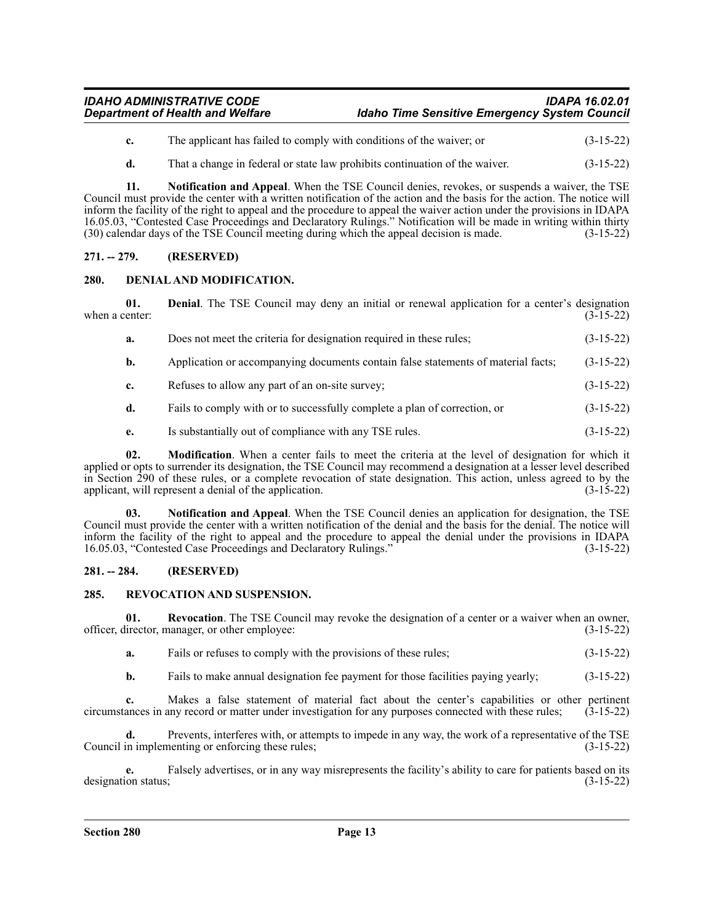### *IDAHO ADMINISTRATIVE CODE IDAPA 16.02.01 <u>Idaho Time Sensitive Emergency System Council*</u>

- **c.** The applicant has failed to comply with conditions of the waiver; or (3-15-22)
- **d.** That a change in federal or state law prohibits continuation of the waiver.  $(3-15-22)$

**11. Notification and Appeal**. When the TSE Council denies, revokes, or suspends a waiver, the TSE Council must provide the center with a written notification of the action and the basis for the action. The notice will inform the facility of the right to appeal and the procedure to appeal the waiver action under the provisions in IDAPA 16.05.03, "Contested Case Proceedings and Declaratory Rulings." Notification will be made in writing within thirty (30) calendar days of the TSE Council meeting during which the appeal decision is made. (3-15-22)

### <span id="page-12-0"></span>**271. -- 279. (RESERVED)**

#### <span id="page-12-1"></span>**280. DENIAL AND MODIFICATION.**

**01. Denial**. The TSE Council may deny an initial or renewal application for a center's designation enter: (3-15-22) when a center:

| a. | Does not meet the criteria for designation required in these rules;               | $(3-15-22)$ |
|----|-----------------------------------------------------------------------------------|-------------|
| b. | Application or accompanying documents contain false statements of material facts; | $(3-15-22)$ |
| c. | Refuses to allow any part of an on-site survey;                                   | $(3-15-22)$ |
| d. | Fails to comply with or to successfully complete a plan of correction, or         | $(3-15-22)$ |
| e. | Is substantially out of compliance with any TSE rules.                            | $(3-15-22)$ |

**02. Modification**. When a center fails to meet the criteria at the level of designation for which it applied or opts to surrender its designation, the TSE Council may recommend a designation at a lesser level described in Section 290 of these rules, or a complete revocation of state designation. This action, unless agreed to by the applicant, will represent a denial of the application. applicant, will represent a denial of the application.

**03. Notification and Appeal**. When the TSE Council denies an application for designation, the TSE Council must provide the center with a written notification of the denial and the basis for the denial. The notice will inform the facility of the right to appeal and the procedure to appeal the denial under the provisions in IDAPA 16.05.03, "Contested Case Proceedings and Declaratory Rulings." (3-15-22)

#### <span id="page-12-2"></span>**281. -- 284. (RESERVED)**

#### <span id="page-12-3"></span>**285. REVOCATION AND SUSPENSION.**

**01. Revocation**. The TSE Council may revoke the designation of a center or a waiver when an owner, officer, director, manager, or other employee: (3-15-22)

- **a.** Fails or refuses to comply with the provisions of these rules; (3-15-22)
- **b.** Fails to make annual designation fee payment for those facilities paying yearly; (3-15-22)

**c.** Makes a false statement of material fact about the center's capabilities or other pertinent ances in any record or matter under investigation for any purposes connected with these rules; (3-15-22) circumstances in any record or matter under investigation for any purposes connected with these rules;

Prevents, interferes with, or attempts to impede in any way, the work of a representative of the TSE Council in implementing or enforcing these rules; (3-15-22)

**e.** Falsely advertises, or in any way misrepresents the facility's ability to care for patients based on its in the status; designation status;